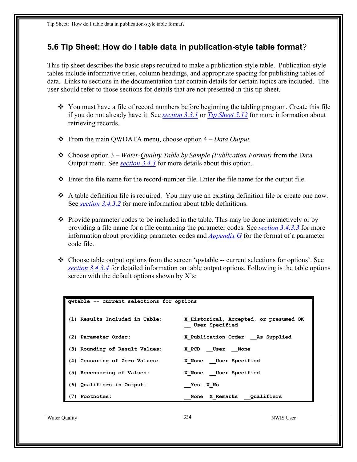## **5.6 Tip Sheet: How do I table data in publication-style table format**?

This tip sheet describes the basic steps required to make a publication-style table. Publication-style tables include informative titles, column headings, and appropriate spacing for publishing tables of data. Links to sections in the documentation that contain details for certain topics are included. The user should refer to those sections for details that are not presented in this tip sheet.

- $\div$  You must have a file of record numbers before beginning the tabling program. Create this file if you do not already have it. See *section 3.3.1* or *Tip Sheet 5.12* for more information about retrieving records.
- From the main QWDATA menu, choose option 4 *Data Output.*
- Choose option 3 *Water-Quality Table by Sample (Publication Format)* from the Data Output menu. See *[section 3.4.3](#page-2-0)* for more details about this option.
- $\div$  Enter the file name for the record-number file. Enter the file name for the output file.
- A table definition file is required. You may use an existing definition file or create one now. See *[section 3.4.3.2](#page-3-0)* for more information about table definitions.
- $\bullet$  Provide parameter codes to be included in the table. This may be done interactively or by providing a file name for a file containing the parameter codes. See *[section 3.4.3.3](#page-8-0)* for more information about providing parameter codes and *Appendix G* for the format of a parameter code file.
- Choose table output options from the screen 'qwtable -- current selections for options'. See *[section](#page-10-0) 3.4.3.4* for detailed information on table output options. Following is the table options screen with the default options shown by X's:

| qwtable -- current selections for options |                                                                 |
|-------------------------------------------|-----------------------------------------------------------------|
| (1) Results Included in Table:            | X Historical, Accepted, or presumed OK<br><b>User Specified</b> |
| (2) Parameter Order:                      | X Publication Order As Supplied                                 |
| (3) Rounding of Result Values:            | X PCD User None                                                 |
| (4) Censoring of Zero Values:             | X None User Specified                                           |
| (5) Recensoring of Values:                | X None User Specified                                           |
| (6) Qualifiers in Output:                 | X No<br>Yes                                                     |
| <b>Footnotes:</b><br>(7)                  | None X Remarks Qualifiers                                       |
|                                           |                                                                 |

Water Quality 334 NWIS User